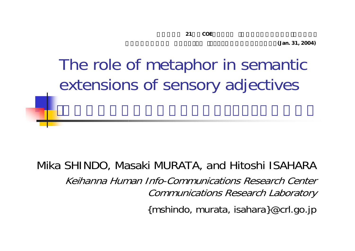**(Jan. 31, 2004)**

# The role of metaphor in semantic extensions of sensory adjectives

Mika SHINDO, Masaki MURATA, and Hitoshi ISAHARA Keihanna Human Info-Communications Research Center Communications Research Laboratory

{mshindo, murata, isahara}@crl.go.jp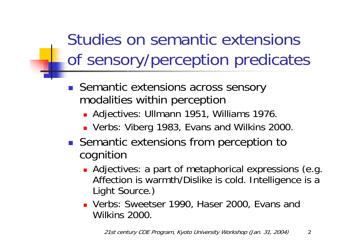Studies on semantic extensions of sensory/perception predicates

- $\mathcal{L}^{\text{max}}$  Semantic extensions across sensory modalities within perception
	- Adjectives: Ullmann 1951, Williams 1976.
	- Verbs: Viberg 1983, Evans and Wilkins 2000.
- Semantic extensions from perception to cognition
	- **Adjectives: a part of metaphorical expressions (e.g.** Affection is warmth/Dislike is cold. Intelligence is a Light Source.)
	- Verbs: Sweetser 1990, Haser 2000, Evans and Wilkins 2000.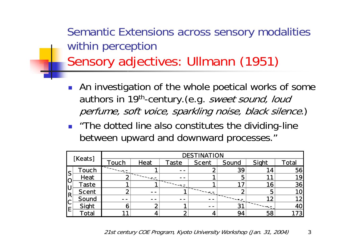Semantic Extensions across sensory modalities within perception Sensory adjectives: Ullmann (1951)

- $\mathcal{L}_{\mathrm{eff}}$  An investigation of the whole poetical works of some authors in 19<sup>th</sup>-century. (e.g. sweet sound, loud perfume, soft voice, sparkling noise, black silence.)
- **The dotted line also constitutes the dividing-line** between upward and downward processes."

|          | [Keats]      |       |      |       | <b>DESTINATION</b> |             |       |              |
|----------|--------------|-------|------|-------|--------------------|-------------|-------|--------------|
|          |              | Touch | Heat | Taste | <b>Scent</b>       | Sound       | Sight | <b>Total</b> |
| S        | <b>Touch</b> |       |      | - -   |                    | 39          | 14    | 56           |
| IO       | Heat         |       |      | - -   |                    | 5           |       | 19           |
| lU       | <b>Taste</b> |       |      |       |                    |             | 16    | 36           |
| ΙR       | <b>Scent</b> |       | - -  |       |                    |             | 5     | 10l          |
| <b>C</b> | Sound        | - -   | - -  | - -   |                    |             | 12    | 12           |
| E        | Sight        |       |      |       | - -                | $3^{\circ}$ |       | <b>40</b>    |
|          | Total        |       |      |       |                    | 94          | 58    | 173          |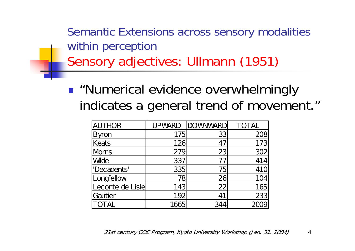Semantic Extensions across sensory modalities within perception Sensory adjectives: Ullmann (1951)

**.** "Numerical evidence overwhelmingly indicates a general trend of movement."

| <b>AUTHOR</b>    |      | UPWARD DOWNWARD | <b>TOTAL</b> |
|------------------|------|-----------------|--------------|
| <b>Byron</b>     | 175  | 33              | 208          |
| Keats            | 126  | 47              | 173          |
| <b>Morris</b>    | 279  | 23              | 302          |
| <b>Wide</b>      | 337  | 77              | 414          |
| 'Decadents'      | 335  | 751             | <b>410</b>   |
| Longfellow       | 78   | 26              | 104          |
| Leconte de Lisle | 143  | 22              | 165          |
| Gautier          | 192  | 41              | 233          |
| <b>TOTAL</b>     | 1665 | 344             |              |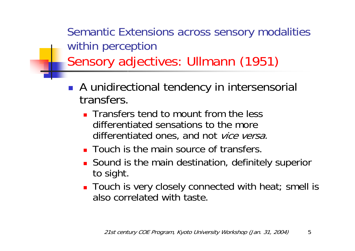Semantic Extensions across sensory modalities within perception Sensory adjectives: Ullmann (1951)

- $\mathcal{L}^{\text{max}}_{\text{max}}$  A unidirectional tendency in intersensorial transfers.
	- **The Transfers tend to mount from the less** differentiated sensations to the more differentiated ones, and not vice versa.
	- **Touch is the main source of transfers.**
	- **Sound is the main destination, definitely superior** to sight.
	- Touch is very closely connected with heat; smell is also correlated with taste.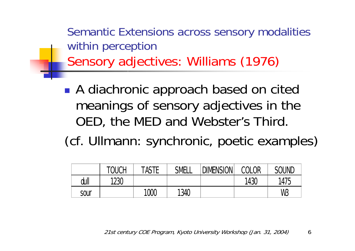Semantic Extensions across sensory modalities within perception Sensory adjectives: Williams (1976)

- ■ A diachronic approach based on cited meanings of sensory adjectives in the OED, the MED and Webster's Third.
- (cf. Ullmann: synchronic, poetic examples)

|      | <b>TOUCH</b> | TASTE | SMELL | <b>DIMENSION</b> | COLOR | <b>SOUND</b> |
|------|--------------|-------|-------|------------------|-------|--------------|
| dull | 1230         |       |       |                  | 1430  | 1475         |
| sour |              | 1000  | 1340  |                  |       | WB           |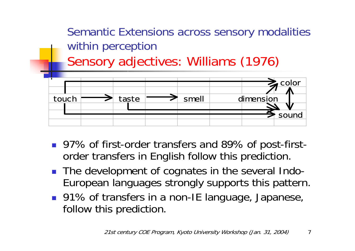

- 97% of first-order transfers and 89% of post-firstorder transfers in English follow this prediction.
- The development of cognates in the several Indo-European languages strongly supports this pattern.
- 91% of transfers in a non-IE language, Japanese, follow this prediction.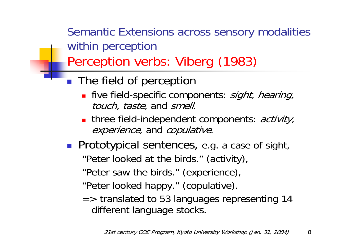Semantic Extensions across sensory modalities within perception

Perception verbs: Viberg (1983)

- **The field of perception** 
	- **five field-specific components**: *sight, hearing,* touch, taste, and smell.
	- three field-independent components: activity, experience, and copulative.
- **Prototypical sentences, e.g. a case of sight,** "Peter looked at the birds." (activity),
	- "Peter saw the birds." (experience),
	- "Peter looked happy." (copulative).
	- => translated to 53 languages representing 14 different language stocks.

21st century COE Program, Kyoto University Workshop (Jan. 31, 2004)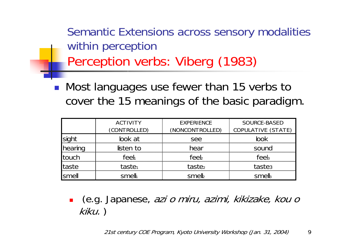Semantic Extensions across sensory modalities within perception Perception verbs: Viberg (1983)

■ Most languages use fewer than 15 verbs to cover the 15 meanings of the basic paradigm.

|         | <b>ACTIVITY</b><br>(CONTROLLED) | <b>EXPERIENCE</b><br>(NONCONTROLLED) | SOURCE-BASED<br>COPULATIVE (STATE) |
|---------|---------------------------------|--------------------------------------|------------------------------------|
| sight   | look at                         | see                                  | <b>look</b>                        |
| hearing | listen to                       | hear                                 | sound                              |
| touch   | feeh                            | feel                                 | feel                               |
| taste   | taste <sub>1</sub>              | taste <sub>2</sub>                   | taste <sub>3</sub>                 |
| smell   | smelh                           | smell                                | smells                             |

× (e.g. Japanese, azi o miru, azimi, kikizake, kou <sup>o</sup> kiku. )

21st century COE Program, Kyoto University Workshop (Jan. 31, 2004) 9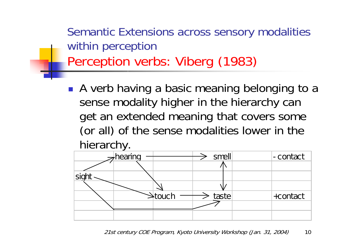Semantic Extensions across sensory modalities within perception Perception verbs: Viberg (1983)

**A** verb having a basic meaning belonging to a sense modality higher in the hierarchy can get an extended meaning that covers some (or all) of the sense modalities lower in the hierarchy.

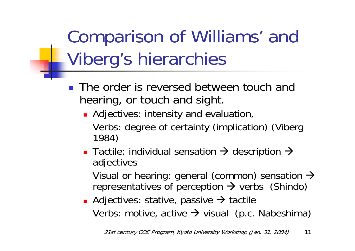Comparison of Williams' and Viberg's hierarchies

- $\mathbb{R}^2$  The order is reversed between touch and hearing, or touch and sight.
	- **Adjectives: intensity and evaluation,** Verbs: degree of certainty (implication) (Viberg 1984)
	- **Tactile: individual sensation**  $\rightarrow$  **description**  $\rightarrow$ adjectives

Visual or hearing: general (common) sensation  $\rightarrow$ representatives of perception  $\rightarrow$  verbs (Shindo)

**Adjectives: stative, passive**  $\rightarrow$  **tactile** Verbs: motive, active  $\rightarrow$  visual (p.c. Nabeshima)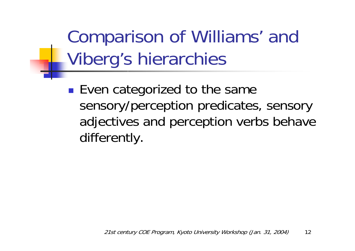Comparison of Williams' and Viberg's hierarchies

 Even categorized to the same sensory/perception predicates, sensory adjectives and perception verbs behave differently .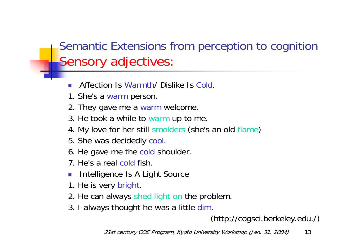#### Semantic Extensions from perception to cognition Sensory adjectives:

- F. Affection Is Warmth/ Dislike Is Cold.
- 1. She's a warm person.
- 2. They gave me a warm welcome.
- 3. He took a while to warm up to me.
- 4. My love for her still smolders (she's an old flame)
- 5. She was decidedly cool.
- 6. He gave me the cold shoulder.
- 7. He's a real cold fish.
- Intelligence Is A Light Source
- 1. He is very bright.
- 2. He can always shed light on the problem.
- 3. I always thought he was a little dim.

#### (http://cogsci.berkeley.edu./)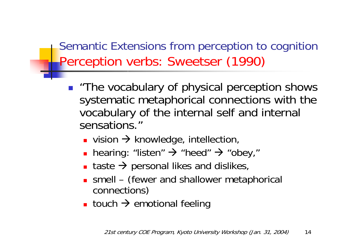Semantic Extensions from perception to cognition Perception verbs: Sweetser (1990)

- "The vocabulary of physical perception shows systematic metaphorical connections with the vocabulary of the internal self and internal sensations."
	- **Example 18 rd SUBA SET ATA ANN Proportion**,
	- hearing: "listen" → "heed" → "obey,"
	- П **The stand is a** taste  $\rightarrow$  personal likes and dislikes,
	- m, ■ smell – (fewer and shallower metaphorical connections)
	- **Example 10 Line A** emotional feeling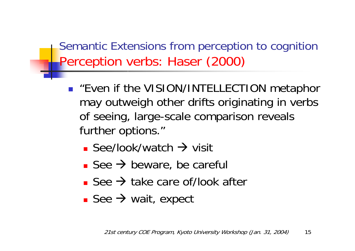Semantic Extensions from perception to cognition Perception verbs: Haser (2000)

- **Example 11 Fig. 2 ISS ENTERT IN THE UP TO A TEAM** TELECTION metaphor may outweigh other drifts originating in verbs of seeing, large-scale comparison reveals further options."
	- **See/look/watch**  $\rightarrow$  **visit**
	- **See**  $\rightarrow$  **beware, be careful**
	- See  $\rightarrow$  take care of/look after
	- See  $\rightarrow$  wait, expect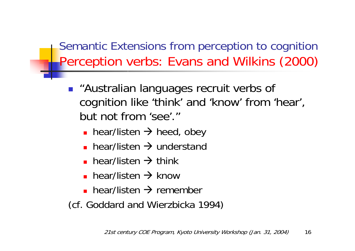Semantic Extensions from perception to cognition Perception verbs: Evans and Wilkins (2000)

- **.** "Australian languages recruit verbs of cognition like 'think' and 'know' from 'hear', but not from 'see'."
	- **•** hear/listen  $\rightarrow$  heed, obey
	- **•** hear/listen  $\rightarrow$  understand
	- **•** hear/listen  $\rightarrow$  think
	- **•** hear/listen  $\rightarrow$  know
	- **•** hear/listen  $\rightarrow$  remember
- (cf. Goddard and Wierzbicka 1994)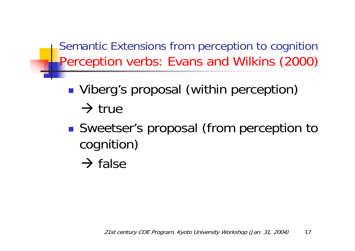Semantic Extensions from perception to cognition Perception verbs: Evans and Wilkins (2000)

- **Viberg's proposal (within perception)**  $\rightarrow$  true
- ■ Sweetser's proposal (from perception to cognition)
	- $\rightarrow$  false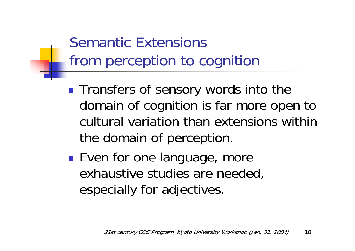#### Semantic Extensions from perception to cognition

- **Transfers of sensory words into the** domain of cognition is far more open to cultural variation than extensions within the domain of perception.
- **Service Service Even for one language, more** exhaustive studies are needed, especially for adjectives.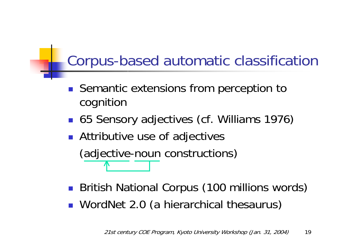#### Corpus-based automatic classification

- Semantic extensions from perception to cognition
- 65 Sensory adjectives (cf. Williams 1976)
- **Attributive use of adjectives**

(adjective-noun constructions)

- **British National Corpus (100 millions words)**
- **NordNet 2.0 (a hierarchical thesaurus)**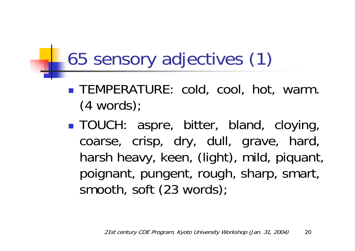# 65 sensory adjectives (1)

- **TEMPERATURE: cold, cool, hot, warm.** (4 words);
- TOUCH: aspre, bitter, bland, cloying, coarse, crisp, dry, dull, grave, hard, harsh heavy, keen, (light), mild, piquant, poignant, pungent, rough, sharp, smart, smooth, soft (23 words);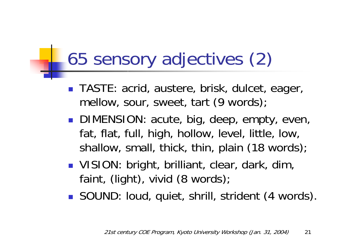# 65 sensory adjectives (2)

- TASTE: acrid, austere, brisk, dulcet, eager, mellow, sour, sweet, tart (9 words);
- DIMENSION: acute, big, deep, empty, even, fat, flat, full, high, hollow, level, little, low, shallow, small, thick, thin, plain (18 words);
- VISION: bright, brilliant, clear, dark, dim, faint, (light), vivid (8 words);
- SOUND: loud, quiet, shrill, strident (4 words).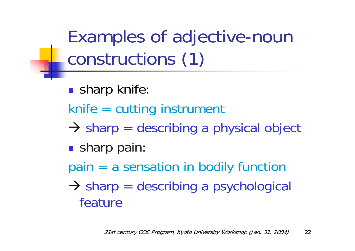Examples of adjective-noun constructions (1)

- **sharp knife:**
- knife = cutting instrument
- $\rightarrow$  sharp = describing a physical object
- **sharp pain:**
- pain = a sensation in bodily function
- $\rightarrow$  sharp = describing a psychological feature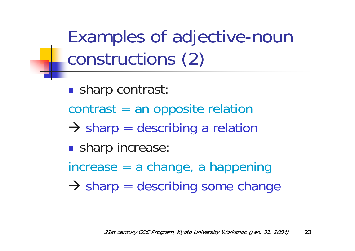Examples of adjective-noun constructions (2)

**Sharp contrast:** 

- contrast = an opposite relation
- $\rightarrow$  sharp = describing a relation
- **sharp increase:**
- increase = a change, a happening
- $\rightarrow$  sharp = describing some change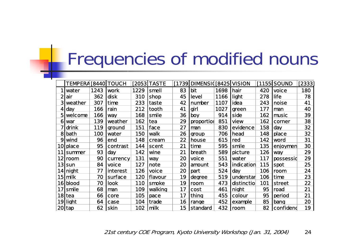# Frequencies of modified nouns

|    | <b>TEMPERA [8440] TOUCH</b> |      |            |      | [2053 TASTE |    | [1739] DIMENSI ([8425] VISION |      |            |     | [1155 SOUND] | [2333] |
|----|-----------------------------|------|------------|------|-------------|----|-------------------------------|------|------------|-----|--------------|--------|
|    | water                       | 1243 | work       | 1229 | smell       | 83 | bit                           | 1698 | hair       | 420 | voice        | 180    |
|    | air                         | 362  | disk       | 310  | shop        | 45 | level                         | 1166 | light      | 278 | life         | 78     |
|    | weather                     | 307  | time       | 233  | taste       | 42 | number                        | 1107 | idea       | 243 | noise        | 41     |
|    | day                         | 166  | rain       | 212  | tooth       | 41 | girl                          | 1027 | green      | 177 | man          | 40     |
| 51 | welcome                     | 166  | <b>Way</b> | 168  | smile       | 36 | boy                           | 914  | side       | 162 | music        | 39     |
| O  | war                         | 139  | weather    | 162  | tea         | 29 | proportion                    | 851  | view       | 162 | corner       | 38     |
|    | drink                       | 119  | ground     | 151  | face        | 27 | man                           | 830  | evidence   | 158 | day          | 32     |
| 8  | bath                        | 100  | water      | 150  | walk        | 26 | group                         | 706  | head       | 148 | place        | 32     |
| 9  | wind                        | 96   | end        | 148  | cream       | 22 | house                         | 615  | red        | 142 | word         | 31     |
| 10 | place                       | 95   | contrast   | 144  | scent       | 21 | time                          | 595  | smile      | 135 | enjoymen     | 30     |
| 11 | summer                      | 93   | day        | 142  | wine        | 21 | breath                        | 589  | picture    | 126 | way          | 29     |
|    | 12 room                     | 90   | currency   | 131  | <b>Way</b>  | 20 | voice                         | 551  | water      | 117 | possessid    | 29     |
|    | 13 sun                      | 84   | voice      | 127  | note        | 20 | amount                        | 543  | indication | 115 | spot         | 25     |
|    | 14  night                   | 77   | interest   | 126  | voice       | 20 | part                          | 524  | day        | 106 | room         | 24     |
|    | 15 milk                     | 70   | surface    | 120  | flavour     | 19 | degree                        | 519  | understar  | 106 | time         | 23     |
|    | 16 blood                    | 70   | look       | 110  | smoke       | 19 | room                          | 473  | distinctio | 101 | street       | 22     |
| 17 | <b>Smile</b>                | 68   | man        | 109  | walking     | 17 | cost                          | 461  | night      | 95  | road         | 21     |
|    | 18 tea                      | 66   | core       | 105  | pace        | 17 | thing                         | 455  | colour     | 95  | period       | 21     |
|    | 19 light                    | 64   | case       | 104  | trade       | 16 | range                         | 452  | example    | 85  | bang         | 20     |
|    | <b>20 tap</b>               | 62   | skin       | 102  | milk        | 15 | standard                      | 432  | room       | 82  | confidend    | 19     |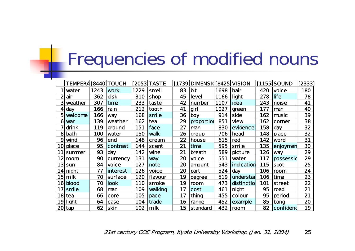# Frequencies of modified nouns

|           | TEMPERA [8440] TOUCH |      |             |      | [2053 TASTE             |    | [1739] DIMENSI [8425] VISION |      |               |     | [1155 SOUND] | [2333] |
|-----------|----------------------|------|-------------|------|-------------------------|----|------------------------------|------|---------------|-----|--------------|--------|
|           | water                | 1243 | work        | 1229 | smell                   | 83 | bit                          | 1698 | hair          | 420 | voice        | 180    |
|           | air                  | 362  | disk        | 310  | shop                    | 45 | level                        | 1166 | light         | 278 | life         | 78     |
|           | weather              | 307  | time        | 233  | taste                   | 42 | number                       | 1107 | idea          | 243 | noise        | 41     |
|           | day                  | 166  | rain        | 212  | tooth                   | 41 | girl                         | 1027 | green         | 177 | man          | 40     |
| 51        | welcome              | 166  | way         | 168  | smile                   | 36 | boy                          | 914  | side          | 162 | music        | 39     |
| 6         | war                  | 139  | weather     | 162  | tea                     | 29 | proportion                   | 851  | view          | 162 | corner       | 38     |
|           | drink                | 119  | ground      | 151  | face                    | 27 | man                          | 830  | evidence      | 158 | day          | 32     |
| 8         | <b>bath</b>          | 100  | water       | 150  | walk                    | 26 | group                        | 706  | head          | 148 | place        | 32     |
| 9         | wind                 | 96   | end         | 148  | cream                   | 22 | house                        | 615  | red           | 142 | word         | 31     |
| <b>10</b> | place                | 95   | contrast    | 144  | scent                   | 21 | time                         | 595  | smile         | 135 | enjoymen     | 30     |
| 11        | summer               | 93   | day         | 142  | wine                    | 21 | breath                       | 589  | picture       | 126 | way          | 29     |
|           | 12 room              | 90   | currency    | 131  | way                     | 20 | voice                        | 551  | water         | 117 | possessid    | 29     |
|           | 13 sun               | 84   | voice       | 127  | note                    | 20 | amount                       | 543  | indication    | 115 | spot         | 25     |
|           | 14 night             | 77   | interest    | 126  | voice                   | 20 | part                         | 524  | day           | 106 | room         | 24     |
|           | 15 milk              | 70   | surface     | 120  | flavour                 | 19 | degree                       | 519  | understar     | 106 | time         | 23     |
|           | 16 blood             | 70   | look        | 110  | smoke                   | 19 | room                         | 473  | distinctio    | 101 | street       | 22     |
|           | $17$ smile           | 68   | man         | 109  | walking                 | 17 | cost                         | 461  | night         | 95  | road         | 21     |
|           | $18$ tea             | 66   | core        | 105  | pace                    | 17 | thing                        | 455  | colour        | 95  | period       | 21     |
|           | 19 light             | 64   | case        | 104  | trade                   | 16 | range                        | 452  | example       | 85  | bang         | 20     |
|           | $ 20 $ tap           | 62   | <b>skin</b> | 102  | $\overline{\mathsf{m}}$ | 15 | <b>standard</b>              | 432  | <b>I</b> room | 82  | confidend    | 19     |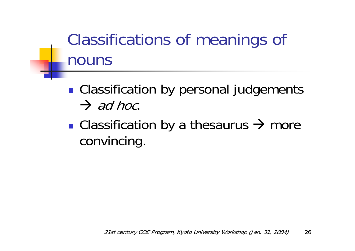### Classifications of meanings of nouns

**Classification by personal judgements**  $\rightarrow$  ad hoc.

**• Classification by a thesaurus**  $\rightarrow$  **more** convincing.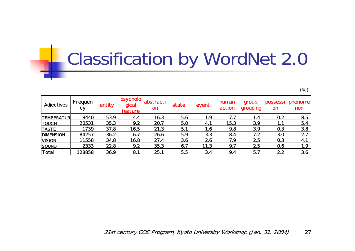# Classification by WordNet 2.0

(%)

|                   |                      |        |                                        |                        |       |         |                 |                    |                       | \'Y            |
|-------------------|----------------------|--------|----------------------------------------|------------------------|-------|---------|-----------------|--------------------|-----------------------|----------------|
| Adjectives        | Frequen<br><b>Cy</b> | entity | <b>Ipsycholo  </b><br>gical<br>feature | abstracti<br><b>on</b> | state | event   | human<br>action | group,<br>grouping | possessi<br><b>on</b> | phenome<br>non |
| <b>TEMPERATUR</b> | 8440                 | 53.9   | 4.4                                    | 16.3                   | 5.6   | 1.9     | 7.7             | 1.4                | 0.2                   | 8.5            |
| <b>TOUCH</b>      | 20531                | 35.3   | 9.2                                    | 20.7                   | 5.0   | 4.1     | 15.3            | 3.9                | 1.1                   | 5.4            |
| <b>TASTE</b>      | 1739                 | 37.8   | 16.5                                   | 21.3                   | 5.1   | $1.6\,$ | 9.8             | 3.9                | 0.3                   | 3.8            |
| <b>DIMENSION</b>  | 84257                | 36.2   | 6.7                                    | 26.6                   | 5.9   | 3.3     | 8.4             | 7.2                | 3.0                   | 2.7            |
| <b>VISION</b>     | 11558                | 34.8   | 16.8                                   | 27.4                   | 3.6   | 2.6     | 7.9             | 2.5                | 0.3                   | 4.1            |
| <b>SOUND</b>      | 2333                 | 22.8   | 9.2                                    | 35.3                   | 6.7   | 11.3    | 9.7             | 2.5                | 0.6                   | 1.9            |
| Total             | 28858                | 36.9   | 8.1                                    | 25.1                   | 5.5   | 3.4     | 9.4             | 5.7                | 2.2                   | 3.6            |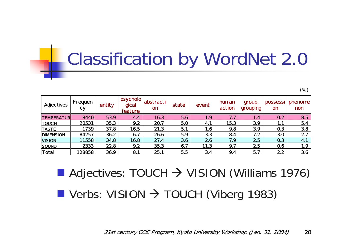# Classification by WordNet 2.0

(%)

| Adjectives        | Frequen<br><b>Cy</b> | entity | psycholo<br>dical<br>feature | abstracti<br><b>on</b> | state | event | human<br>action | group,<br>grouping | possessi<br><b>on</b> | phenome<br>non |
|-------------------|----------------------|--------|------------------------------|------------------------|-------|-------|-----------------|--------------------|-----------------------|----------------|
| <b>TEMPERATUR</b> | 8440                 | 53.9   | 4.4                          | 16.3                   | 5.6   | 1.9   | 7.7             | 1.4                | 0.2                   | 8.5            |
| <b>TOUCH</b>      | 20531                | 35.3   | 9.2                          | 20.7                   | 5.0   | 4.1   | 15.3            | 3.9                | 1.1                   | 5.4            |
| <b>TASTE</b>      | 1739                 | 37.8   | 16.5                         | 21.3                   | 5.1   | 1.6   | 9.8             | 3.9                | 0.3                   | 3.8            |
| <b>IDIMENSION</b> | 84257                | 36.2   | 6.7                          | 26.6                   | 5.9   | 3.3   | 8.4             | 7.2                | 3.0                   | 2.7            |
| <b>VISION</b>     | 11558                | 34.8   | 16.8                         | 27.4                   | 3.6   | 2.6   | 7.9             | 2.5                | 0.3                   | 4.1            |
| <b>SOUND</b>      | 2333                 | 22.8   | 9.2                          | 35.3                   | 6.7   | 11.3  | 9.7             | 2.5                | 0.6                   | 1.9            |
| Total             | 28858                | 36.9   | 8.1                          | 25.1                   | 5.5   | 3.4   | 9.4             | 5.7                | 2.2                   | 3.6            |

 $\blacksquare$  Adjectives: TOUCH  $\rightarrow$  VISION (Williams 1976)

 $\blacksquare$  Verbs: VISION  $\rightarrow$  TOUCH (Viberg 1983)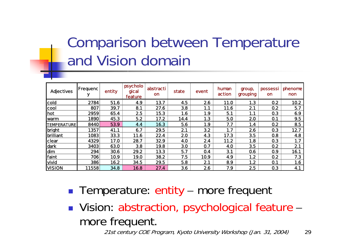#### Comparison between Temperature and Vision domain

| <b>Adjectives</b>  | Frequenc | entity | psycholo<br>gical<br>feature | abstracti<br>on | state      | event | human<br>action | group,<br>grouping | possessi<br><b>on</b> | phenome<br>non |
|--------------------|----------|--------|------------------------------|-----------------|------------|-------|-----------------|--------------------|-----------------------|----------------|
| cold               | 2784     | 51.6   | 4.9                          | 13.7            | 4.5        | 2.6   | 11.0            | 1.3                | 0.2                   | 10.2           |
| cool               | 807      | 39.7   | 8.1                          | 27.6            | 3.8        | 1.1   | 11.6            | 2.1                | 0.2                   | 5.7            |
| hot                | 2959     | 65.4   | 2.5                          | 15.3            | 1.6        | 1.9   | 5.1             | 1.1                | 0.3                   | 6.9            |
| <b> warm</b>       | 1890     | 45.3   | 5.2                          | 17.2            | 14.4       | 1.3   | 5.0             | 2.0                | 0.1                   | 9.5            |
| <b>TEMPERATURE</b> | 8440     | 53.9   | 4.4                          | 16.3            | 5.6        | 1.9   | 7.7             | 1.4                | 0.2                   | 8.5            |
| bright             | 1357     | 41.1   | 6.7                          | 29.5            | 2.1        | 3.2   | 1.7             | 2.6                | 0.3                   | 12.7           |
| brilliant          | 1083     | 33.3   | 11.6                         | 22.4            | 2.0        | 4.3   | 17.3            | 3.5                | 0.8                   | 4.8            |
| clear              | 4329     | 17.0   | 28.7                         | 32.9            | <b>4.0</b> | 2.4   | 11.2            | 1.8                | 0.3                   | 1.7            |
| dark               | 3403     | 63.0   | 3.8                          | 19.8            | 3.0        | 0.7   | <b>4.0</b>      | 3.5                | 0.2                   | 2.1            |
| dim                | 294      | 30.6   | 29.2                         | 13.3            | 5.7        | 0.4   | 3.1             | 0.6                | 0.9                   | 16.1           |
| faint              | 706      | 10.9   | 19.0                         | 38.2            | 7.5        | 10.9  | 4.9             | 1.2                | 0.2                   | 7.3            |
| vivid              | 386      | 16.2   | 34.5                         | 29.5            | 5.8        | 2.1   | 8.9             | 1.2                | 0.1                   | 1.6            |
| <b>VISION</b>      | 11558    | 34.8   | 16.8                         | 27.4            | 3.6        | 2.6   | 7.9             | 2.5                | 0.3                   | 4.1            |

- **Temperature: entity** –more frequent
- **Nision: abstraction, psychological feature** – more frequent.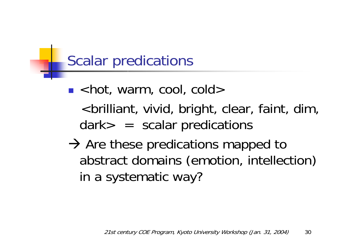#### Scalar predications

- $\blacksquare$  <hot, warm, cool, cold> <brilliant, vivid, bright, clear, faint, dim, dark> = scalar predications
- $\rightarrow$  Are these predications mapped to abstract domains (emotion, intellection) in a systematic way?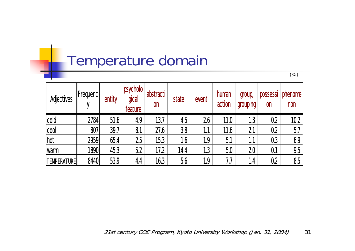#### Temperature domain

| Adjectives         | <b>IFrequenc!</b> | entity | psycholo<br>gical<br>feature | abstracti<br><b>on</b> | state | event | human<br>action | group,<br>grouping | possessi<br><b>on</b> | phenome<br>non |
|--------------------|-------------------|--------|------------------------------|------------------------|-------|-------|-----------------|--------------------|-----------------------|----------------|
| cold               | 2784              | 51.6   | 4.9                          | 13.7                   | 4.5   | 26    | 11.0            | 1.3                | 0.2                   | 10.2           |
| cool               | 807               | 39.7   | 8.1                          | 27.6                   | 3.8   | 1.1   | 11.6            | 2.1                | 0.2                   | 5.7            |
| hot                | 2959              | 65.4   | 25                           | 15.3                   | 1.6   | 1.9   | 5.1             | 1.1                | 0.3                   | 6.9            |
| <b>Warm</b>        | 1890              | 45.3   | 5.2                          | 17.2                   | 14.4  | 1.3   | 5.0             | 20 <sub>2</sub>    | 0.1                   | 9.5            |
| <b>TEMPERATURE</b> | 8440              | 53.9   | 4.4                          | 16.3                   | 5.6   | 1.9   | 7.7             | 1.4                | 0.2                   | 8.5            |

(%)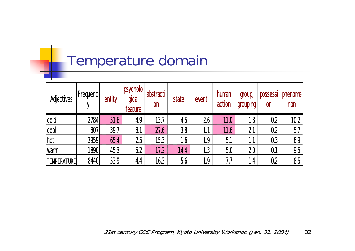#### Temperature domain

| Adjectives         | $ $ Frequenc $ $ | entity | psycholo<br>gical<br>feature | abstracti<br><b>on</b> | state | event | human<br>action | group,<br>grouping | possessi<br>$\mathsf{on}$ | phenome<br>non |
|--------------------|------------------|--------|------------------------------|------------------------|-------|-------|-----------------|--------------------|---------------------------|----------------|
| cold               | 2784             | 51.6   | 4.9                          | 13.7                   | 4.5   | 26    | 11.0            | 1.3                | 0.2                       | 10.2           |
| cool               | 807              | 39.7   | 8.1                          | 27.6                   | 3.8   |       | 11.6            | 21                 | 0.2                       | 5.7            |
| hot                | 2959             | 65.4   | 25                           | 15.3                   | 1.6   | 1.9   | 5.1             | 1.1                | 0.3                       | 6.9            |
| <b>Iwarm</b>       | 1890             | 45.3   | 5.2                          | 17.2                   | 14.4  | 1.3   | 5.0             | 20                 | 0.1                       | 9.5            |
| <b>TEMPERATURE</b> | 8440             | 53.9   | 4.4                          | 16.3                   | 5.6   | 1.9   | 1.7             | 1.4                | 0.2                       | 8.5            |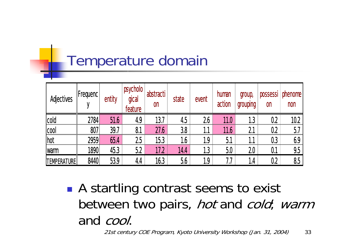#### Temperature domain

| Adjectives         | $ $ Frequenc $ $ | entity | psycholo<br>gical<br>feature | abstracti<br><b>on</b> | state   | event | human<br>action | group,<br>grouping | possessi<br><b>on</b> | phenome<br>non |
|--------------------|------------------|--------|------------------------------|------------------------|---------|-------|-----------------|--------------------|-----------------------|----------------|
| cold               | 2784             | 51.6   | 4.9                          | 13.7                   | 4.5     | 26    | 11.0            | 1.3                | 0.2                   | 10.2           |
| cool               | 807              | 39.7   | 8.1                          | 27.6                   | 3.8     | 1.1   | 11.6            | 2.1                | 0.2                   | 5.7            |
| <b>I</b> hot       | 2959             | 65.4   | 25                           | 15.3                   | $1.6\,$ | 1.9   | 5.1             | 1.1                | 0.3                   | 6.9            |
| <b>Warm</b>        | 1890             | 45.3   | 5.2                          | 17.2                   | 14.4    | 1.3   | 5.0             | 20                 | 0.1                   | 9.5            |
| <b>TEMPERATURE</b> | 8440             | 53.9   | 4.4                          | 16.3                   | 5.6     | 1.9   | 7.7             | 1.4                | 0.2                   | 8.5            |

**Service Service** ■ A startling contrast seems to exist between two pairs, *hot* and *cold*; warm and cool.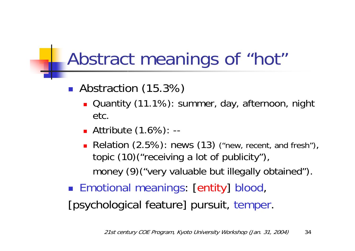### Abstract meanings of "hot"

- **Abstraction (15.3%)** 
	- **Quantity (11.1%): summer, day, afternoon, night** etc.
	- Attribute (1.6%): --
	- Relation (2.5%): news (13) ("new, recent, and fresh"), topic (10)("receiving a lot of publicity"), money (9)("very valuable but illegally obtained").
- **Emotional meanings: [entity] blood,** [psychological feature] pursuit, temper.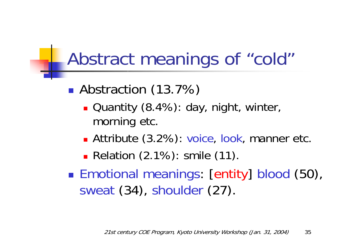### Abstract meanings of "cold"

- **Abstraction (13.7%)** 
	- Quantity (8.4%): day, night, winter, morning etc.
	- Attribute (3.2%): voice, look, manner etc.

**Relation (2.1%): smile (11).** 

■ Emotional meanings: [entity] blood (50), sweat (34), shoulder (27).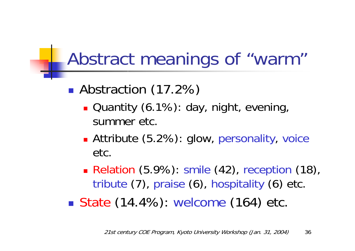### Abstract meanings of "warm"

- **Abstraction (17.2%)** 
	- **Quantity (6.1%): day, night, evening,** summer etc.
	- **Attribute (5.2%): glow, personality, voice** etc.
	- Relation (5.9%): smile (42), reception (18), tribute (7), praise (6), hospitality (6) etc.
- State (14.4%): welcome (164) etc.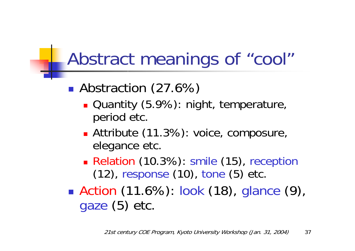### Abstract meanings of "cool"

- **Abstraction (27.6%)** 
	- **Quantity (5.9%): night, temperature,** period etc.
	- **Attribute (11.3%): voice, composure,** elegance etc.
	- Relation (10.3%): smile (15), reception (12), response (10), tone (5) etc.
- ■ Action (11.6%): look (18), glance (9), gaze (5) etc.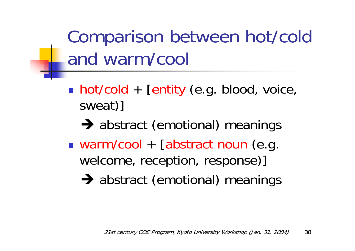Comparison between hot/cold and warm/cool

- **hot/cold** + [entity (e.g. blood, voice, sweat)]
	- $\rightarrow$  abstract (emotional) meanings
- **Service Service** ■ warm/cool + [abstract noun (e.g. welcome, reception, response)]
	- $\rightarrow$  abstract (emotional) meanings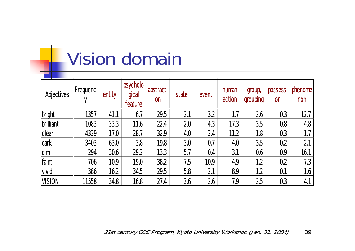## Vision domain

| Adjectives              | $ $ Frequenc $ $ | entity | psycholo<br>gical<br>feature | abstracti<br><b>on</b> | state | event | human<br>action | group,<br>grouping | possessi<br><b>on</b> | phenome<br>non |
|-------------------------|------------------|--------|------------------------------|------------------------|-------|-------|-----------------|--------------------|-----------------------|----------------|
| bright                  | 13571            | 41.1   | 6.7                          | 29.5                   | 2.1   | 3.2   |                 | 26                 | 0.3                   | 12.7           |
| <i><b>brilliant</b></i> | 1083             | 33.3   | 11.6                         | 22.4                   | 20    | 4.3   | 17.3            | 3.5                | 0.8                   | 4.8            |
| clear                   | 4329             | 17.0   | 28.7                         | 32.9                   | 4.0   | 2.4   | 11.2            | 1.8                | 0.3                   |                |
| dark                    | 3403             | 63.0   | 3.8                          | 19.8                   | 3.0   | 0.7   | 4.0             | 3.5                | 0.2                   | 2.1            |
| <b>dim</b>              | 294              | 30.6   | 29.2                         | 13.3                   | 5.7   | 0.4   | 3.1             | 0.6                | 0.9                   | 16.1           |
| faint                   | 706              | 10.9   | 19.0                         | 38.2                   | 7.5   | 10.9  | 4.9             | 1.2                | 0.2                   | 7.3            |
| <b>vivid</b>            | 386              | 16.2   | 34.5                         | 29.5                   | 5.8   | 2.1   | 8.9             | 1.2                | 0.1                   | 1.6            |
| <b>VISION</b>           | 11558            | 34.8   | 16.8                         | 27.4                   | 3.6   | 26    | 7.9             | 25                 | 0.3                   | 4.1            |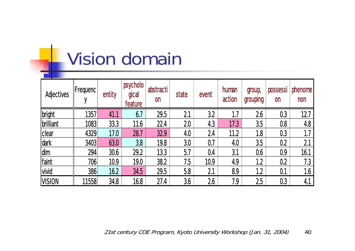# Vision domain

| Adjectives              | $ $ Frequenc $ $ | entity | psycholo<br>gical<br>feature | abstracti<br><b>on</b> | state | event | human<br>action | group,<br>grouping | possessi<br><b>on</b> | phenome<br>non |
|-------------------------|------------------|--------|------------------------------|------------------------|-------|-------|-----------------|--------------------|-----------------------|----------------|
| bright                  | 1357             | 41.1   | 6.7                          | 29.5                   | 2.1   | 3.2   |                 | 26                 | 0.3                   | 12.7           |
| <i><b>brilliant</b></i> | 1083             | 33.3   | 11.6                         | 22.4                   | 20    | 4.3   | 17.3            | 3.5                | 0.8                   | 4.8            |
| clear                   | 4329             | 17.0   | 28.7                         | 32.9                   | 4.0   | 2.4   | 11.2            | 1.8                | 0.3                   |                |
| dark                    | 3403             | 63.0   | 3.8                          | 19.8                   | 3.0   | 0.7   | 4.0             | 3.5                | 0.2                   | 2.1            |
| <b>dim</b>              | 294              | 30.6   | 29.2                         | 13.3                   | 5.7   | 0.4   | 3.1             | 0.6                | 0.9                   | 16.1           |
| faint                   | 706              | 10.9   | 19.0                         | 38.2                   | 7.5   | 10.9  | 4.9             | 1.2                | 0.2                   | 7.3            |
| <b>vivid</b>            | 386              | 16.2   | 34.5                         | 29.5                   | 5.8   | 2.1   | 8.9             | 1.2                | 0.1                   | 1.6            |
| <b>VISION</b>           | 11558            | 34.8   | 16.8                         | 27.4                   | 3.6   | 26    | 7.9             | 25                 | 0.3                   | 4.1            |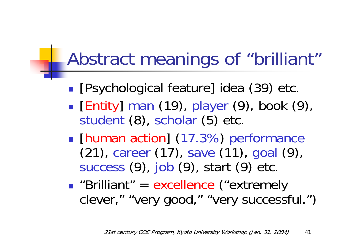### Abstract meanings of "brilliant"

- **Service Service [Psychological feature] idea (39) etc.**
- **Entity** man (19), player (9), book (9), student (8), scholar (5) etc.
- **II [human action] (17.3%) performance** (21), career (17), save (11), goal (9), success (9), job (9), start (9) etc.
- **Service Service Brilliant" = excellence ("extremely"** clever," "very good," "very successful.")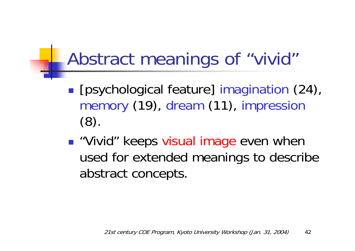## Abstract meanings of "vivid"

- **[psychological feature] imagination (24),** memory (19), dream (11), impression (8).
- "Vivid" keeps visual image even when used for extended meanings to describe abstract concepts.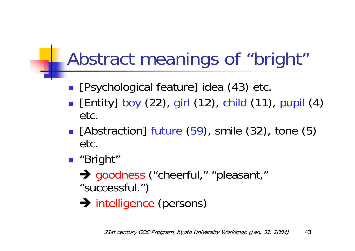# Abstract meanings of "bright"

- **•** [Psychological feature] idea (43) etc.
- **E** [Entity] boy (22), girl (12), child (11), pupil (4) etc.
- [Abstraction] future (59), smile (32), tone (5) etc.
- "Bright"
	- → goodness ("cheerful," "pleasant," "successful.")
	- $\rightarrow$  intelligence (persons)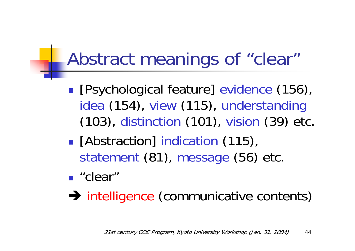## Abstract meanings of "clear"

- **[Psychological feature] evidence (156),** idea (154), view (115), understanding (103), distinction (101), vision (39) etc.
- **E** [Abstraction] indication (115), statement (81), message (56) etc.
- "clear"

 $\rightarrow$  intelligence (communicative contents)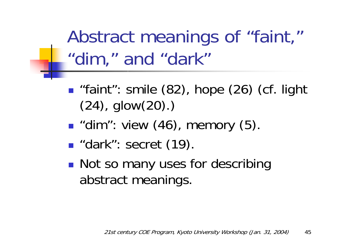Abstract meanings of "faint," "dim," and "dark"

- **n** "faint": smile (82), hope (26) (cf. light (24), glow(20).)
- **u** "dim": view (46), memory (5).
- **dark**": secret (19).
- **Not so many uses for describing** abstract meanings.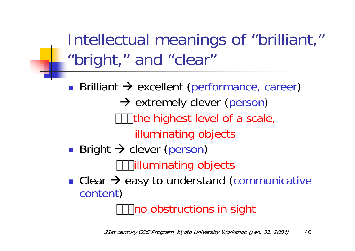Intellectual meanings of "brilliant," "bright," and "clear"

 $\mathcal{L}_{\mathcal{A}}$ **Brilliant**  $\rightarrow$  **excellent (performance, career)** → extremely clever (person) the highest level of a scale, illuminating objects ■ Bright → clever (person)

illuminating objects

**Clear**  $\rightarrow$  **easy to understand (communicative** content)

no obstructions in sight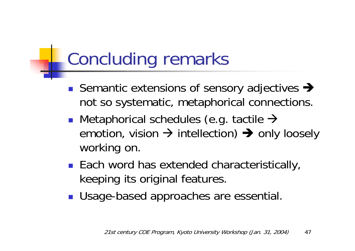# Concluding remarks

- Semantic extensions of sensory adjectives  $\rightarrow$ not so systematic, metaphorical connections.
- **Metaphorical schedules (e.g. tactile**  $\rightarrow$ emotion, vision  $\rightarrow$  intellection)  $\rightarrow$  only loosely working on.
- Each word has extended characteristically, keeping its original features.
- **Usage-based approaches are essential.**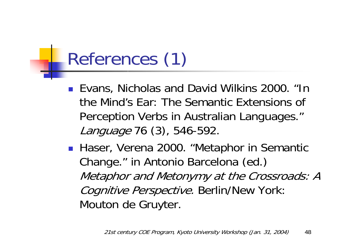# References (1)

- Evans, Nicholas and David Wilkins 2000. "In the Mind's Ear: The Semantic Extensions of Perception Verbs in Australian Languages." Language 76 (3), 546-592.
- Haser, Verena 2000. "Metaphor in Semantic Change." in Antonio Barcelona (ed.) Metaphor and Metonymy at the Crossroads: A Cognitive Perspective. Berlin/New York: Mouton de Gruyter.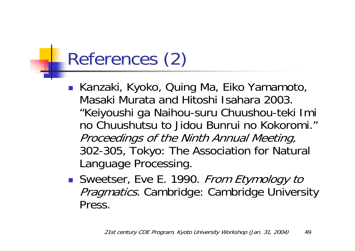# References (2)

- Kanzaki, Kyoko, Quing Ma, Eiko Yamamoto, Masaki Murata and Hitoshi Isahara 2003. "Keiyoushi ga Naihou-suru Chuushou-teki Imi no Chuushutsu to Jidou Bunrui no Kokoromi." Proceedings of the Ninth Annual Meeting, 302-305, Tokyo: The Association for Natural Language Processing.
- Sweetser, Eve E. 1990. From Etymology to Pragmatics. Cambridge: Cambridge University Press.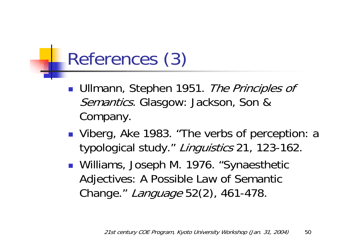# References (3)

- **Ullmann, Stephen 1951.** The Principles of *Semantics.* Glasgow: Jackson, Son & Company.
- Viberg, Ake 1983. "The verbs of perception: a typological study." Linguistics 21, 123-162.
- Williams, Joseph M. 1976. "Synaesthetic Adjectives: A Possible Law of Semantic Change." Language 52(2), 461-478.